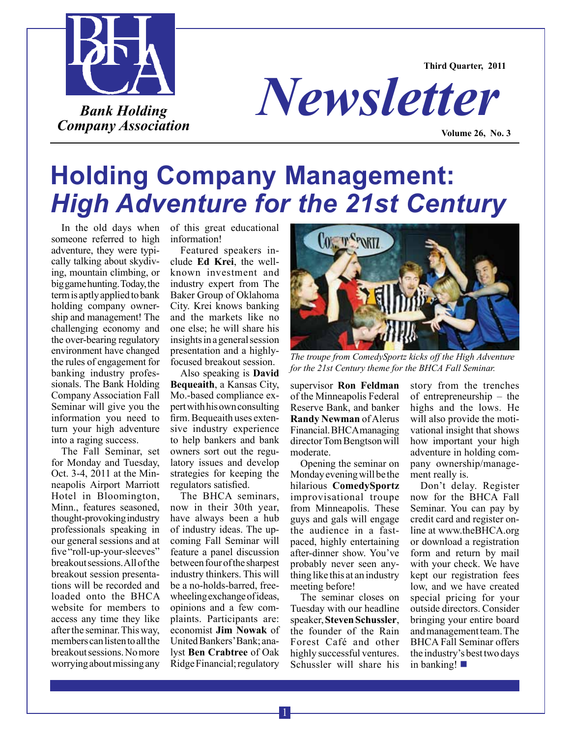

**Third Quarter, 2011**



**Volume 26, No. 3**

# **Holding Company Management:**  *High Adventure for the 21st Century*

In the old days when someone referred to high adventure, they were typically talking about skydiving, mountain climbing, or big game hunting. Today, the term is aptly applied to bank holding company ownership and management! The challenging economy and the over-bearing regulatory environment have changed the rules of engagement for banking industry professionals. The Bank Holding Company Association Fall Seminar will give you the information you need to turn your high adventure into a raging success.

The Fall Seminar, set for Monday and Tuesday, Oct. 3-4, 2011 at the Minneapolis Airport Marriott Hotel in Bloomington, Minn., features seasoned, thought-provoking industry professionals speaking in our general sessions and at five "roll-up-your-sleeves" breakout sessions. All of the breakout session presentations will be recorded and loaded onto the BHCA website for members to access any time they like after the seminar. This way, members can listen to all the breakout sessions. No more worrying about missing any

of this great educational information!

Featured speakers include **Ed Krei**, the wellknown investment and industry expert from The Baker Group of Oklahoma City. Krei knows banking and the markets like no one else; he will share his insights in a general session presentation and a highlyfocused breakout session.

Also speaking is **David Bequeaith**, a Kansas City, Mo.-based compliance expert with his own consulting firm. Bequeaith uses extensive industry experience to help bankers and bank owners sort out the regulatory issues and develop strategies for keeping the regulators satisfied.

The BHCA seminars, now in their 30th year, have always been a hub of industry ideas. The upcoming Fall Seminar will feature a panel discussion between four of the sharpest industry thinkers. This will be a no-holds-barred, freewheeling exchange of ideas, opinions and a few complaints. Participants are: economist **Jim Nowak** of United Bankers' Bank; analyst **Ben Crabtree** of Oak Ridge Financial; regulatory



*The troupe from ComedySportz kicks off the High Adventure for the 21st Century theme for the BHCA Fall Seminar.*

supervisor **Ron Feldman**  of the Minneapolis Federal Reserve Bank, and banker **Randy Newman** of Alerus Financial. BHCA managing director Tom Bengtson will moderate.

Opening the seminar on Monday evening will be the hilarious **ComedySportz**  improvisational troupe from Minneapolis. These guys and gals will engage the audience in a fastpaced, highly entertaining after-dinner show. You've probably never seen anything like this at an industry meeting before!

The seminar closes on Tuesday with our headline speaker, **Steven Schussler**, the founder of the Rain Forest Café and other highly successful ventures. Schussler will share his

story from the trenches of entrepreneurship – the highs and the lows. He will also provide the motivational insight that shows how important your high adventure in holding company ownership/management really is.

Don't delay. Register now for the BHCA Fall Seminar. You can pay by credit card and register online at www.theBHCA.org or download a registration form and return by mail with your check. We have kept our registration fees low, and we have created special pricing for your outside directors. Consider bringing your entire board and management team. The BHCA Fall Seminar offers the industry's best two days in banking! $\blacksquare$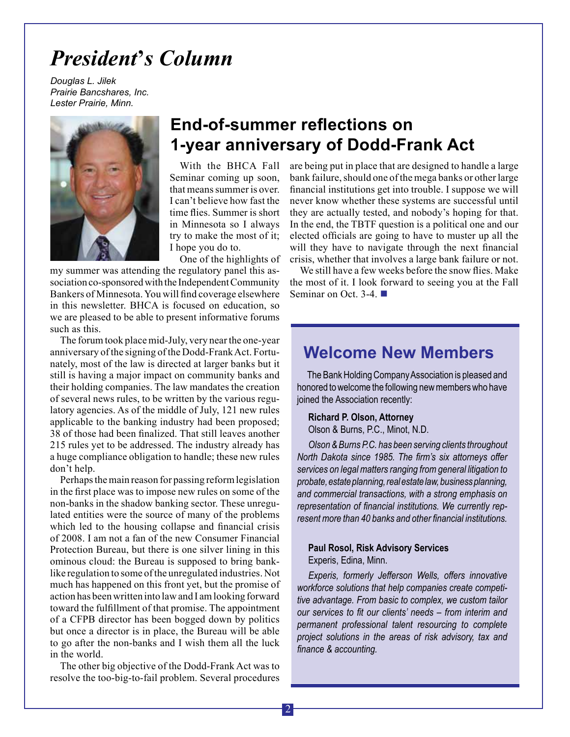## *President***'***s Column*

*Douglas L. Jilek Prairie Bancshares, Inc. Lester Prairie, Minn.*



## **End-of-summer reflections on 1-year anniversary of Dodd-Frank Act**

With the BHCA Fall Seminar coming up soon, that means summer is over. I can't believe how fast the time flies. Summer is short in Minnesota so I always try to make the most of it; I hope you do to.

One of the highlights of

my summer was attending the regulatory panel this association co-sponsored with the Independent Community Bankers of Minnesota. You will find coverage elsewhere in this newsletter. BHCA is focused on education, so we are pleased to be able to present informative forums such as this.

The forum took place mid-July, very near the one-year anniversary of the signing of the Dodd-Frank Act. Fortunately, most of the law is directed at larger banks but it still is having a major impact on community banks and their holding companies. The law mandates the creation of several news rules, to be written by the various regulatory agencies. As of the middle of July, 121 new rules applicable to the banking industry had been proposed; 38 of those had been finalized. That still leaves another 215 rules yet to be addressed. The industry already has a huge compliance obligation to handle; these new rules don't help.

Perhaps the main reason for passing reform legislation in the first place was to impose new rules on some of the non-banks in the shadow banking sector. These unregulated entities were the source of many of the problems which led to the housing collapse and financial crisis of 2008. I am not a fan of the new Consumer Financial Protection Bureau, but there is one silver lining in this ominous cloud: the Bureau is supposed to bring banklike regulation to some of the unregulated industries. Not much has happened on this front yet, but the promise of action has been written into law and I am looking forward toward the fulfillment of that promise. The appointment of a CFPB director has been bogged down by politics but once a director is in place, the Bureau will be able to go after the non-banks and I wish them all the luck in the world.

The other big objective of the Dodd-Frank Act was to resolve the too-big-to-fail problem. Several procedures are being put in place that are designed to handle a large bank failure, should one of the mega banks or other large financial institutions get into trouble. I suppose we will never know whether these systems are successful until they are actually tested, and nobody's hoping for that. In the end, the TBTF question is a political one and our elected officials are going to have to muster up all the will they have to navigate through the next financial crisis, whether that involves a large bank failure or not.

We still have a few weeks before the snow flies. Make the most of it. I look forward to seeing you at the Fall Seminar on Oct. 3-4.  $\blacksquare$ 

## **Welcome New Members**

The Bank Holding Company Association is pleased and honored to welcome the following new members who have joined the Association recently:

### **Richard P. Olson, Attorney**

Olson & Burns, P.C., Minot, N.D.

*Olson & Burns P.C. has been serving clients throughout North Dakota since 1985. The firm's six attorneys offer services on legal matters ranging from general litigation to probate, estate planning, real estate law,business planning, and commercial transactions, with a strong emphasis on representation of financial institutions. We currently represent more than 40 banks and other financial institutions.*

## **Paul Rosol, Risk Advisory Services** Experis, Edina, Minn.

*Experis, formerly Jefferson Wells, offers innovative workforce solutions that help companies create competitive advantage. From basic to complex, we custom tailor our services to fit our clients' needs – from interim and permanent professional talent resourcing to complete project solutions in the areas of risk advisory, tax and finance & accounting.*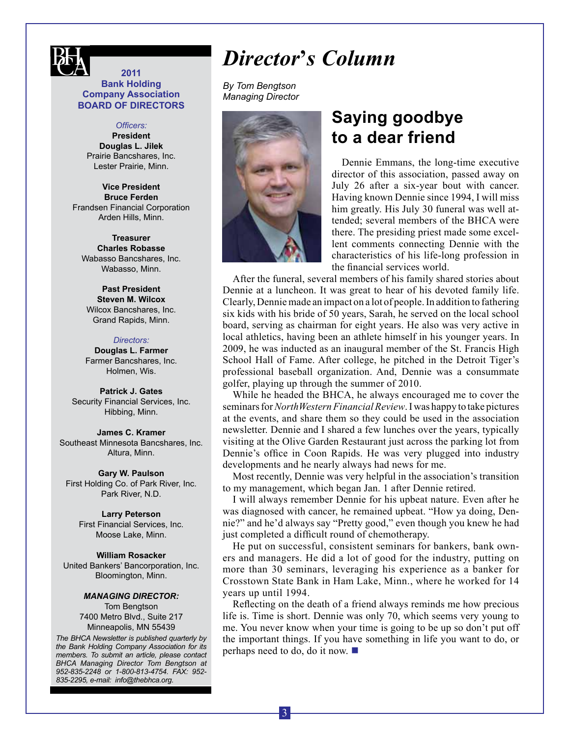

### **2011 Bank Holding Company Association BOARD OF DIRECTORS**

#### *Officers:*

**President Douglas L. Jilek** Prairie Bancshares, Inc. Lester Prairie, Minn.

**Vice President Bruce Ferden** Frandsen Financial Corporation Arden Hills, Minn.

**Treasurer Charles Robasse** Wabasso Bancshares, Inc. Wabasso, Minn.

**Past President Steven M. Wilcox** Wilcox Bancshares, Inc. Grand Rapids, Minn.

#### *Directors:*

**Douglas L. Farmer** Farmer Bancshares, Inc. Holmen, Wis.

**Patrick J. Gates** Security Financial Services, Inc. Hibbing, Minn.

**James C. Kramer** Southeast Minnesota Bancshares, Inc. Altura, Minn.

**Gary W. Paulson** First Holding Co. of Park River, Inc. Park River, N.D.

#### **Larry Peterson**

First Financial Services, Inc. Moose Lake, Minn.

**William Rosacker** United Bankers' Bancorporation, Inc. Bloomington, Minn.

#### *Managing DIRECTOR:*

Tom Bengtson 7400 Metro Blvd., Suite 217 Minneapolis, MN 55439

*The BHCA Newsletter is published quarterly by the Bank Holding Company Association for its members. To submit an article, please contact BHCA Managing Director Tom Bengtson at 952-835-2248 or 1-800-813-4754. FAX: 952- 835-2295, e-mail: info@thebhca.org*.

## *Director***'***s Column*

*By Tom Bengtson Managing Director*



## **Saying goodbye to a dear friend**

Dennie Emmans, the long-time executive director of this association, passed away on July 26 after a six-year bout with cancer. Having known Dennie since 1994, I will miss him greatly. His July 30 funeral was well attended; several members of the BHCA were there. The presiding priest made some excellent comments connecting Dennie with the characteristics of his life-long profession in the financial services world.

After the funeral, several members of his family shared stories about Dennie at a luncheon. It was great to hear of his devoted family life. Clearly, Dennie made an impact on a lot of people. In addition to fathering six kids with his bride of 50 years, Sarah, he served on the local school board, serving as chairman for eight years. He also was very active in local athletics, having been an athlete himself in his younger years. In 2009, he was inducted as an inaugural member of the St. Francis High School Hall of Fame. After college, he pitched in the Detroit Tiger's professional baseball organization. And, Dennie was a consummate golfer, playing up through the summer of 2010.

While he headed the BHCA, he always encouraged me to cover the seminars for *NorthWestern Financial Review*. I was happy to take pictures at the events, and share them so they could be used in the association newsletter. Dennie and I shared a few lunches over the years, typically visiting at the Olive Garden Restaurant just across the parking lot from Dennie's office in Coon Rapids. He was very plugged into industry developments and he nearly always had news for me.

Most recently, Dennie was very helpful in the association's transition to my management, which began Jan. 1 after Dennie retired.

I will always remember Dennie for his upbeat nature. Even after he was diagnosed with cancer, he remained upbeat. "How ya doing, Dennie?" and he'd always say "Pretty good," even though you knew he had just completed a difficult round of chemotherapy.

He put on successful, consistent seminars for bankers, bank owners and managers. He did a lot of good for the industry, putting on more than 30 seminars, leveraging his experience as a banker for Crosstown State Bank in Ham Lake, Minn., where he worked for 14 years up until 1994.

Reflecting on the death of a friend always reminds me how precious life is. Time is short. Dennie was only 70, which seems very young to me. You never know when your time is going to be up so don't put off the important things. If you have something in life you want to do, or perhaps need to do, do it now.  $\blacksquare$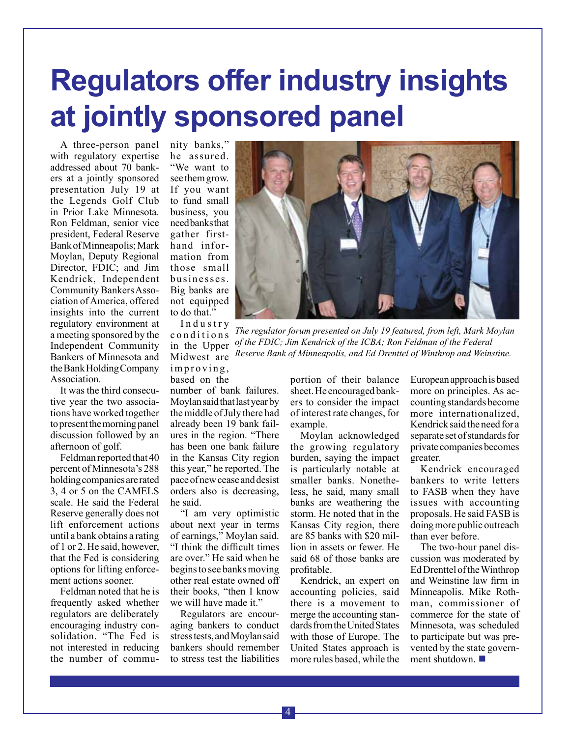# **Regulators offer industry insights at jointly sponsored panel**

A three-person panel with regulatory expertise addressed about 70 bankers at a jointly sponsored presentation July 19 at the Legends Golf Club in Prior Lake Minnesota. Ron Feldman, senior vice president, Federal Reserve Bank of Minneapolis; Mark Moylan, Deputy Regional Director, FDIC; and Jim Kendrick, Independent Community Bankers Association of America, offered insights into the current regulatory environment at a meeting sponsored by the Independent Community Bankers of Minnesota and the Bank Holding Company Association.

It was the third consecutive year the two associations have worked together to present the morning panel discussion followed by an afternoon of golf.

Feldman reported that 40 percent of Minnesota's 288 holding companies are rated 3, 4 or 5 on the CAMELS scale. He said the Federal Reserve generally does not lift enforcement actions until a bank obtains a rating of 1 or 2. He said, however, that the Fed is considering options for lifting enforcement actions sooner.

Feldman noted that he is frequently asked whether regulators are deliberately encouraging industry consolidation. "The Fed is not interested in reducing the number of community banks," he assured. "We want to see them grow. If you want to fund small business, you need banks that gather firsthand information from those small businesses. Big banks are not equipped to do that." I n d u s t r y

c o n d i t i o n s in the Upper Midwest are improving, based on the

number of bank failures. Moylan said that last year by the middle of July there had already been 19 bank failures in the region. "There has been one bank failure in the Kansas City region this year," he reported. The pace of new cease and desist orders also is decreasing, he said.

"I am very optimistic about next year in terms of earnings," Moylan said. "I think the difficult times are over." He said when he begins to see banks moving other real estate owned off their books, "then I know we will have made it."

Regulators are encouraging bankers to conduct stress tests, and Moylan said bankers should remember to stress test the liabilities



*The regulator forum presented on July 19 featured, from left, Mark Moylan of the FDIC; Jim Kendrick of the ICBA; Ron Feldman of the Federal Reserve Bank of Minneapolis, and Ed Drenttel of Winthrop and Weinstine.*

portion of their balance sheet. He encouraged bankers to consider the impact of interest rate changes, for example.

Moylan acknowledged the growing regulatory burden, saying the impact is particularly notable at smaller banks. Nonetheless, he said, many small banks are weathering the storm. He noted that in the Kansas City region, there are 85 banks with \$20 million in assets or fewer. He said 68 of those banks are profitable.

Kendrick, an expert on accounting policies, said there is a movement to merge the accounting standards from the United States with those of Europe. The United States approach is more rules based, while the European approach is based more on principles. As accounting standards become more internationalized, Kendrick said the need for a separate set of standards for private companies becomes greater.

Kendrick encouraged bankers to write letters to FASB when they have issues with accounting proposals. He said FASB is doing more public outreach than ever before.

The two-hour panel discussion was moderated by Ed Drenttel of the Winthrop and Weinstine law firm in Minneapolis. Mike Rothman, commissioner of commerce for the state of Minnesota, was scheduled to participate but was prevented by the state government shutdown.  $\blacksquare$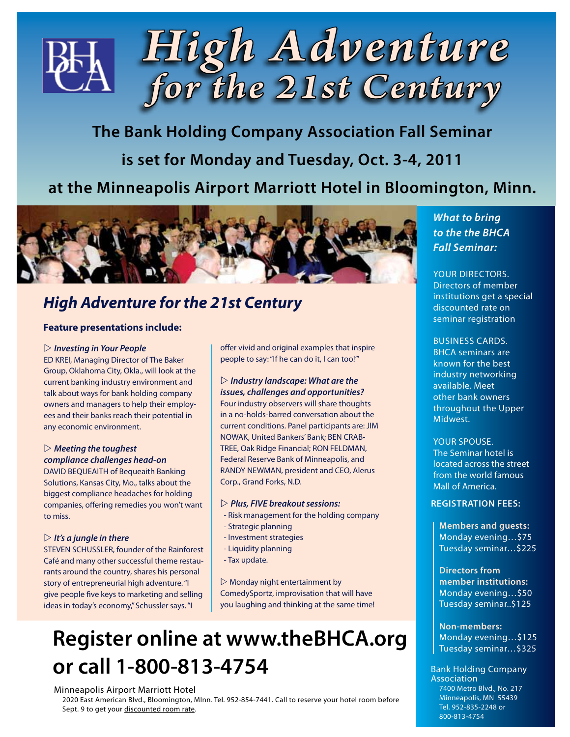

**The Bank Holding Company Association Fall Seminar is set for Monday and Tuesday, Oct. 3-4, 2011 at the Minneapolis Airport Marriott Hotel in Bloomington, Minn.** 



## *High Adventure for the 21st Century*

## **Feature presentations include:**

#### $\triangleright$  Investing in Your People

ED KREI, Managing Director of The Baker Group, Oklahoma City, Okla., will look at the current banking industry environment and talk about ways for bank holding company owners and managers to help their employees and their banks reach their potential in any economic environment.

## $\triangleright$  Meeting the toughest *compliance challenges head-on*

DAVID BEQUEAITH of Bequeaith Banking Solutions, Kansas City, Mo., talks about the biggest compliance headaches for holding companies, offering remedies you won't want to miss.

### $\triangleright$  It's a jungle in there

STEVEN SCHUSSLER, founder of the Rainforest Café and many other successful theme restaurants around the country, shares his personal story of entrepreneurial high adventure. "I give people five keys to marketing and selling ideas in today's economy," Schussler says. "I

offer vivid and original examples that inspire people to say: "If he can do it, I can too!'"

## $\triangleright$  *Industry landscape: What are the*

*issues, challenges and opportunities?*  Four industry observers will share thoughts in a no-holds-barred conversation about the current conditions. Panel participants are: JIM NOWAK, United Bankers' Bank; BEN CRAB-TREE, Oak Ridge Financial; RON FELDMAN, Federal Reserve Bank of Minneapolis, and RANDY NEWMAN, president and CEO, Alerus Corp., Grand Forks, N.D.

### w *Plus, FIVE breakout sessions:*

- Risk management for the holding company
- Strategic planning
- Investment strategies
- Liquidity planning
- Tax update.

 $\triangleright$  Monday night entertainment by ComedySportz, improvisation that will have you laughing and thinking at the same time!

## **Register online at www.theBHCA.org or call 1-800-813-4754**

## Minneapolis Airport Marriott Hotel

2020 East American Blvd., Bloomington, MInn. Tel. 952-854-7441. Call to reserve your hotel room before Sept. 9 to get your discounted room rate.

## *What to bring to the the BHCA Fall Seminar:*

YOUR DIRECTORS. Directors of member institutions get a special discounted rate on seminar registration

### Business cards.

BHCA seminars are known for the best industry networking available. Meet other bank owners throughout the Upper Midwest.

## Your spouse.

The Seminar hotel is located across the street from the world famous Mall of America.

## **Registration Fees:**

**Members and guests:** Monday evening…\$75 Tuesday seminar…\$225

**Directors from member institutions:** Monday evening…\$50 Tuesday seminar..\$125

**Non-members:** Monday evening…\$125 Tuesday seminar…\$325

#### Bank Holding Company Association 7400 Metro Blvd., No. 217 Minneapolis, MN 55439 Tel. 952-835-2248 or 800-813-4754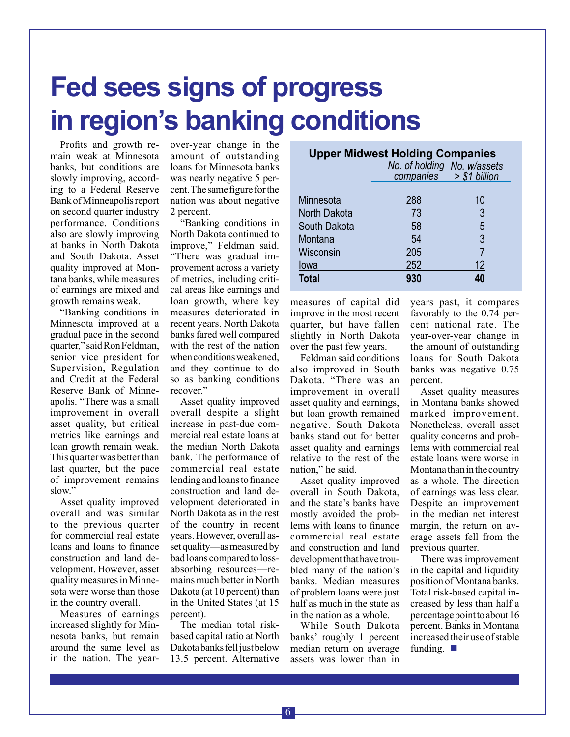# **Fed sees signs of progress in region's banking conditions**

Profits and growth remain weak at Minnesota banks, but conditions are slowly improving, according to a Federal Reserve Bank of Minneapolis report on second quarter industry performance. Conditions also are slowly improving at banks in North Dakota and South Dakota. Asset quality improved at Montana banks, while measures of earnings are mixed and growth remains weak.

"Banking conditions in Minnesota improved at a gradual pace in the second quarter," said Ron Feldman, senior vice president for Supervision, Regulation and Credit at the Federal Reserve Bank of Minneapolis. "There was a small improvement in overall asset quality, but critical metrics like earnings and loan growth remain weak. This quarter was better than last quarter, but the pace of improvement remains slow."

Asset quality improved overall and was similar to the previous quarter for commercial real estate loans and loans to finance construction and land development. However, asset quality measures in Minnesota were worse than those in the country overall.

Measures of earnings increased slightly for Minnesota banks, but remain around the same level as in the nation. The year-

over-year change in the amount of outstanding loans for Minnesota banks was nearly negative 5 percent. The same figure for the nation was about negative 2 percent.

"Banking conditions in North Dakota continued to improve," Feldman said. "There was gradual improvement across a variety of metrics, including critical areas like earnings and loan growth, where key measures deteriorated in recent years. North Dakota banks fared well compared with the rest of the nation when conditions weakened, and they continue to do so as banking conditions recover."

Asset quality improved overall despite a slight increase in past-due commercial real estate loans at the median North Dakota bank. The performance of commercial real estate lending and loans to finance construction and land development deteriorated in North Dakota as in the rest of the country in recent years. However, overall asset quality—as measured by bad loans compared to lossabsorbing resources—remains much better in North Dakota (at 10 percent) than in the United States (at 15 percent).

The median total riskbased capital ratio at North Dakota banks fell just below 13.5 percent. Alternative

| <b>Upper Midwest Holding Companies</b><br>No. of holding No. w/assets<br>$companies$ > \$1 billion |     |    |
|----------------------------------------------------------------------------------------------------|-----|----|
|                                                                                                    |     |    |
| Minnesota                                                                                          | 288 | 10 |
| North Dakota                                                                                       | 73  | 3  |
| South Dakota                                                                                       | 58  | 5  |
| Montana                                                                                            | 54  | 3  |
| Wisconsin                                                                                          | 205 |    |
| lowa                                                                                               | 252 | 12 |
| <b>Total</b>                                                                                       | 930 | 40 |

measures of capital did improve in the most recent quarter, but have fallen slightly in North Dakota over the past few years.

Feldman said conditions also improved in South Dakota. "There was an improvement in overall asset quality and earnings, but loan growth remained negative. South Dakota banks stand out for better asset quality and earnings relative to the rest of the nation," he said.

Asset quality improved overall in South Dakota, and the state's banks have mostly avoided the problems with loans to finance commercial real estate and construction and land development that have troubled many of the nation's banks. Median measures of problem loans were just half as much in the state as in the nation as a whole.

While South Dakota banks' roughly 1 percent median return on average assets was lower than in

years past, it compares favorably to the 0.74 percent national rate. The year-over-year change in the amount of outstanding loans for South Dakota banks was negative 0.75 percent.

Asset quality measures in Montana banks showed marked improvement. Nonetheless, overall asset quality concerns and problems with commercial real estate loans were worse in Montana than in the country as a whole. The direction of earnings was less clear. Despite an improvement in the median net interest margin, the return on average assets fell from the previous quarter.

There was improvement in the capital and liquidity position of Montana banks. Total risk-based capital increased by less than half a percentage point to about 16 percent. Banks in Montana increased their use of stable funding.  $\blacksquare$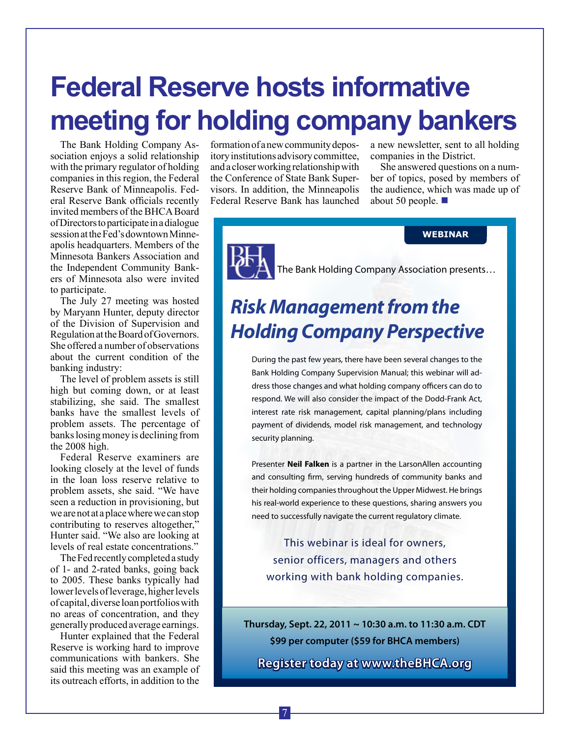# **Federal Reserve hosts informative meeting for holding company bankers**

The Bank Holding Company Association enjoys a solid relationship with the primary regulator of holding companies in this region, the Federal Reserve Bank of Minneapolis. Federal Reserve Bank officials recently invited members of the BHCA Board of Directors to participate in a dialogue session at the Fed's downtown Minneapolis headquarters. Members of the Minnesota Bankers Association and the Independent Community Bankers of Minnesota also were invited to participate.

The July 27 meeting was hosted by Maryann Hunter, deputy director of the Division of Supervision and Regulation at the Board of Governors. She offered a number of observations about the current condition of the banking industry:

The level of problem assets is still high but coming down, or at least stabilizing, she said. The smallest banks have the smallest levels of problem assets. The percentage of banks losing money is declining from the 2008 high.

Federal Reserve examiners are looking closely at the level of funds in the loan loss reserve relative to problem assets, she said. "We have seen a reduction in provisioning, but we are not at a place where we can stop contributing to reserves altogether," Hunter said. "We also are looking at levels of real estate concentrations."

The Fed recently completed a study of 1- and 2-rated banks, going back to 2005. These banks typically had lower levels of leverage, higher levels of capital, diverse loan portfolios with no areas of concentration, and they generally produced average earnings.

Hunter explained that the Federal Reserve is working hard to improve communications with bankers. She said this meeting was an example of its outreach efforts, in addition to the

formation of a new community depository institutions advisory committee, and a closer working relationship with the Conference of State Bank Supervisors. In addition, the Minneapolis Federal Reserve Bank has launched

a new newsletter, sent to all holding companies in the District.

She answered questions on a number of topics, posed by members of the audience, which was made up of about 50 people.  $\blacksquare$ 

## **WEBINAR**



The Bank Holding Company Association presents…

## *Risk Management from the Holding Company Perspective*

During the past few years, there have been several changes to the Bank Holding Company Supervision Manual; this webinar will address those changes and what holding company officers can do to respond. We will also consider the impact of the Dodd-Frank Act, interest rate risk management, capital planning/plans including payment of dividends, model risk management, and technology security planning.

Presenter **Neil Falken** is a partner in the LarsonAllen accounting and consulting firm, serving hundreds of community banks and their holding companies throughout the Upper Midwest. He brings his real-world experience to these questions, sharing answers you need to successfully navigate the current regulatory climate.

This webinar is ideal for owners, senior officers, managers and others working with bank holding companies.

**Thursday, Sept. 22, 2011 ~ 10:30 a.m. to 11:30 a.m. CDT \$99 per computer (\$59 for BHCA members)**

**Register today at www.theBHCA.org**